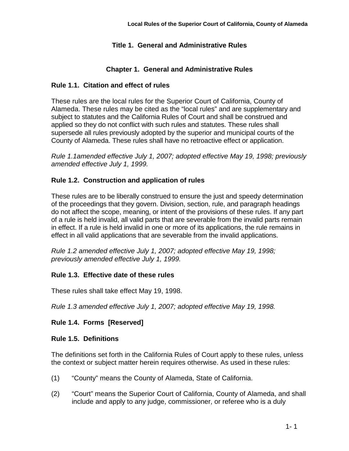## **Title 1. General and Administrative Rules**

#### **Chapter 1. General and Administrative Rules**

#### **Rule 1.1. Citation and effect of rules**

These rules are the local rules for the Superior Court of California, County of Alameda. These rules may be cited as the "local rules" and are supplementary and subject to statutes and the California Rules of Court and shall be construed and applied so they do not conflict with such rules and statutes. These rules shall supersede all rules previously adopted by the superior and municipal courts of the County of Alameda. These rules shall have no retroactive effect or application.

*Rule 1.1amended effective July 1, 2007; adopted effective May 19, 1998; previously amended effective July 1, 1999.*

#### **Rule 1.2. Construction and application of rules**

These rules are to be liberally construed to ensure the just and speedy determination of the proceedings that they govern. Division, section, rule, and paragraph headings do not affect the scope, meaning, or intent of the provisions of these rules. If any part of a rule is held invalid, all valid parts that are severable from the invalid parts remain in effect. If a rule is held invalid in one or more of its applications, the rule remains in effect in all valid applications that are severable from the invalid applications.

*Rule 1.2 amended effective July 1, 2007; adopted effective May 19, 1998; previously amended effective July 1, 1999.*

#### **Rule 1.3. Effective date of these rules**

These rules shall take effect May 19, 1998.

*Rule 1.3 amended effective July 1, 2007; adopted effective May 19, 1998.*

#### **Rule 1.4. Forms [Reserved]**

#### **Rule 1.5. Definitions**

The definitions set forth in the California Rules of Court apply to these rules, unless the context or subject matter herein requires otherwise. As used in these rules:

- (1) "County" means the County of Alameda, State of California.
- (2) "Court" means the Superior Court of California, County of Alameda, and shall include and apply to any judge, commissioner, or referee who is a duly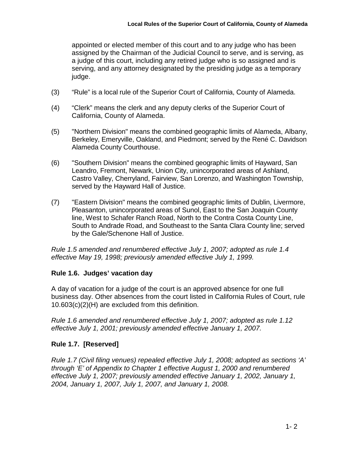appointed or elected member of this court and to any judge who has been assigned by the Chairman of the Judicial Council to serve, and is serving, as a judge of this court, including any retired judge who is so assigned and is serving, and any attorney designated by the presiding judge as a temporary judge.

- (3) "Rule" is a local rule of the Superior Court of California, County of Alameda.
- (4) "Clerk" means the clerk and any deputy clerks of the Superior Court of California, County of Alameda.
- (5) "Northern Division" means the combined geographic limits of Alameda, Albany, Berkeley, Emeryville, Oakland, and Piedmont; served by the René C. Davidson Alameda County Courthouse.
- (6) "Southern Division" means the combined geographic limits of Hayward, San Leandro, Fremont, Newark, Union City, unincorporated areas of Ashland, Castro Valley, Cherryland, Fairview, San Lorenzo, and Washington Township, served by the Hayward Hall of Justice.
- (7) "Eastern Division" means the combined geographic limits of Dublin, Livermore, Pleasanton, unincorporated areas of Sunol, East to the San Joaquin County line, West to Schafer Ranch Road, North to the Contra Costa County Line, South to Andrade Road, and Southeast to the Santa Clara County line; served by the Gale/Schenone Hall of Justice.

*Rule 1.5 amended and renumbered effective July 1, 2007; adopted as rule 1.4 effective May 19, 1998; previously amended effective July 1, 1999.*

## **Rule 1.6. Judges' vacation day**

A day of vacation for a judge of the court is an approved absence for one full business day. Other absences from the court listed in California Rules of Court, rule 10.603(c)(2)(H) are excluded from this definition.

*Rule 1.6 amended and renumbered effective July 1, 2007; adopted as rule 1.12 effective July 1, 2001; previously amended effective January 1, 2007.*

## **Rule 1.7. [Reserved]**

*Rule 1.7 (Civil filing venues) repealed effective July 1, 2008; adopted as sections 'A' through 'E' of Appendix to Chapter 1 effective August 1, 2000 and renumbered effective July 1, 2007; previously amended effective January 1, 2002, January 1, 2004, January 1, 2007, July 1, 2007, and January 1, 2008.*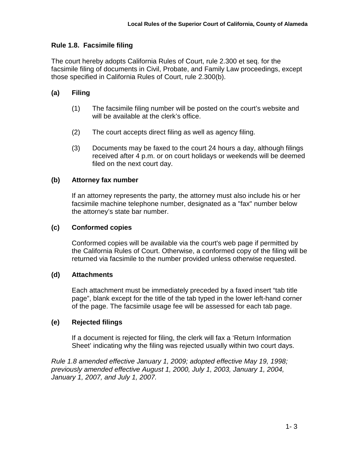## **Rule 1.8. Facsimile filing**

The court hereby adopts California Rules of Court, rule 2.300 et seq. for the facsimile filing of documents in Civil, Probate, and Family Law proceedings, except those specified in California Rules of Court, rule 2.300(b).

## **(a) Filing**

- (1) The facsimile filing number will be posted on the court's website and will be available at the clerk's office.
- (2) The court accepts direct filing as well as agency filing.
- (3) Documents may be faxed to the court 24 hours a day, although filings received after 4 p.m. or on court holidays or weekends will be deemed filed on the next court day.

#### **(b) Attorney fax number**

If an attorney represents the party, the attorney must also include his or her facsimile machine telephone number, designated as a "fax" number below the attorney's state bar number.

#### **(c) Conformed copies**

Conformed copies will be available via the court's web page if permitted by the California Rules of Court. Otherwise, a conformed copy of the filing will be returned via facsimile to the number provided unless otherwise requested.

#### **(d) Attachments**

Each attachment must be immediately preceded by a faxed insert "tab title page", blank except for the title of the tab typed in the lower left-hand corner of the page. The facsimile usage fee will be assessed for each tab page.

## **(e) Rejected filings**

If a document is rejected for filing, the clerk will fax a 'Return Information Sheet' indicating why the filing was rejected usually within two court days.

*Rule 1.8 amended effective January 1, 2009; adopted effective May 19, 1998; previously amended effective August 1, 2000, July 1, 2003, January 1, 2004, January 1, 2007, and July 1, 2007.*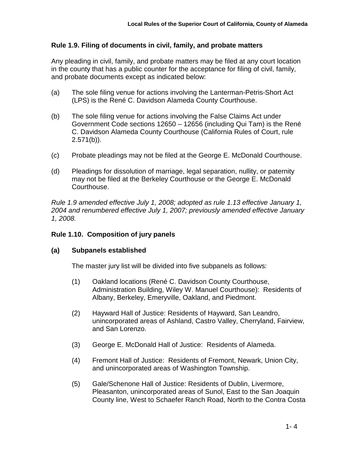## **Rule 1.9. Filing of documents in civil, family, and probate matters**

Any pleading in civil, family, and probate matters may be filed at any court location in the county that has a public counter for the acceptance for filing of civil, family, and probate documents except as indicated below:

- (a) The sole filing venue for actions involving the Lanterman-Petris-Short Act (LPS) is the René C. Davidson Alameda County Courthouse.
- (b) The sole filing venue for actions involving the False Claims Act under Government Code sections 12650 – 12656 (including Qui Tam) is the René C. Davidson Alameda County Courthouse (California Rules of Court, rule  $2.571(b)$ ).
- (c) Probate pleadings may not be filed at the George E. McDonald Courthouse.
- (d) Pleadings for dissolution of marriage, legal separation, nullity, or paternity may not be filed at the Berkeley Courthouse or the George E. McDonald Courthouse.

*Rule 1.9 amended effective July 1, 2008; adopted as rule 1.13 effective January 1, 2004 and renumbered effective July 1, 2007; previously amended effective January 1, 2008.*

## **Rule 1.10. Composition of jury panels**

## **(a) Subpanels established**

The master jury list will be divided into five subpanels as follows:

- (1) Oakland locations (René C. Davidson County Courthouse, Administration Building, Wiley W. Manuel Courthouse): Residents of Albany, Berkeley, Emeryville, Oakland, and Piedmont.
- (2) Hayward Hall of Justice: Residents of Hayward, San Leandro, unincorporated areas of Ashland, Castro Valley, Cherryland, Fairview, and San Lorenzo.
- (3) George E. McDonald Hall of Justice: Residents of Alameda.
- (4) Fremont Hall of Justice: Residents of Fremont, Newark, Union City, and unincorporated areas of Washington Township.
- (5) Gale/Schenone Hall of Justice: Residents of Dublin, Livermore, Pleasanton, unincorporated areas of Sunol, East to the San Joaquin County line, West to Schaefer Ranch Road, North to the Contra Costa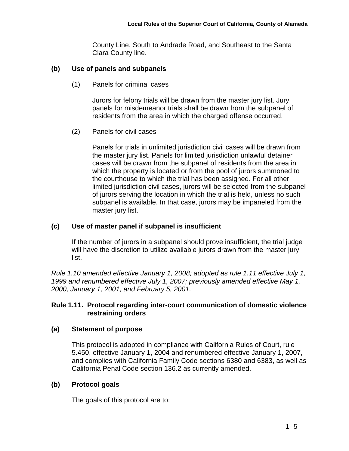County Line, South to Andrade Road, and Southeast to the Santa Clara County line.

# **(b) Use of panels and subpanels**

(1) Panels for criminal cases

Jurors for felony trials will be drawn from the master jury list. Jury panels for misdemeanor trials shall be drawn from the subpanel of residents from the area in which the charged offense occurred.

(2) Panels for civil cases

Panels for trials in unlimited jurisdiction civil cases will be drawn from the master jury list. Panels for limited jurisdiction unlawful detainer cases will be drawn from the subpanel of residents from the area in which the property is located or from the pool of jurors summoned to the courthouse to which the trial has been assigned. For all other limited jurisdiction civil cases, jurors will be selected from the subpanel of jurors serving the location in which the trial is held, unless no such subpanel is available. In that case, jurors may be impaneled from the master jury list.

# **(c) Use of master panel if subpanel is insufficient**

If the number of jurors in a subpanel should prove insufficient, the trial judge will have the discretion to utilize available jurors drawn from the master jury list.

*Rule 1.10 amended effective January 1, 2008; adopted as rule 1.11 effective July 1, 1999 and renumbered effective July 1, 2007; previously amended effective May 1, 2000, January 1, 2001, and February 5, 2001.*

## **Rule 1.11. Protocol regarding inter-court communication of domestic violence restraining orders**

# **(a) Statement of purpose**

This protocol is adopted in compliance with California Rules of Court, rule 5.450, effective January 1, 2004 and renumbered effective January 1, 2007, and complies with California Family Code sections 6380 and 6383, as well as California Penal Code section 136.2 as currently amended.

# **(b) Protocol goals**

The goals of this protocol are to: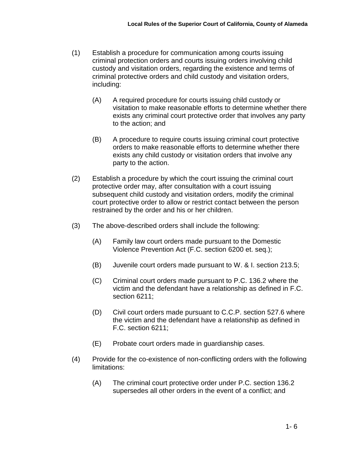- (1) Establish a procedure for communication among courts issuing criminal protection orders and courts issuing orders involving child custody and visitation orders, regarding the existence and terms of criminal protective orders and child custody and visitation orders, including:
	- (A) A required procedure for courts issuing child custody or visitation to make reasonable efforts to determine whether there exists any criminal court protective order that involves any party to the action; and
	- (B) A procedure to require courts issuing criminal court protective orders to make reasonable efforts to determine whether there exists any child custody or visitation orders that involve any party to the action.
- (2) Establish a procedure by which the court issuing the criminal court protective order may, after consultation with a court issuing subsequent child custody and visitation orders, modify the criminal court protective order to allow or restrict contact between the person restrained by the order and his or her children.
- (3) The above-described orders shall include the following:
	- (A) Family law court orders made pursuant to the Domestic Violence Prevention Act (F.C. section 6200 et. seq.);
	- (B) Juvenile court orders made pursuant to W. & I. section 213.5;
	- (C) Criminal court orders made pursuant to P.C. 136.2 where the victim and the defendant have a relationship as defined in F.C. section 6211;
	- (D) Civil court orders made pursuant to C.C.P. section 527.6 where the victim and the defendant have a relationship as defined in F.C. section 6211;
	- (E) Probate court orders made in guardianship cases.
- (4) Provide for the co-existence of non-conflicting orders with the following limitations:
	- (A) The criminal court protective order under P.C. section 136.2 supersedes all other orders in the event of a conflict; and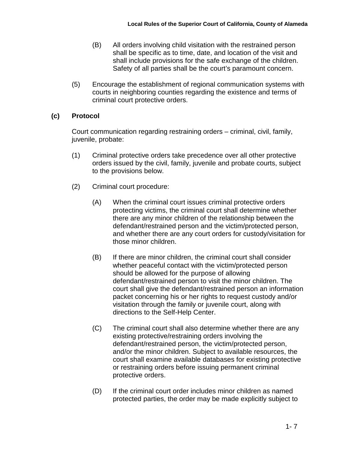- (B) All orders involving child visitation with the restrained person shall be specific as to time, date, and location of the visit and shall include provisions for the safe exchange of the children. Safety of all parties shall be the court's paramount concern.
- (5) Encourage the establishment of regional communication systems with courts in neighboring counties regarding the existence and terms of criminal court protective orders.

#### **(c) Protocol**

Court communication regarding restraining orders – criminal, civil, family, juvenile, probate:

- (1) Criminal protective orders take precedence over all other protective orders issued by the civil, family, juvenile and probate courts, subject to the provisions below.
- (2) Criminal court procedure:
	- (A) When the criminal court issues criminal protective orders protecting victims, the criminal court shall determine whether there are any minor children of the relationship between the defendant/restrained person and the victim/protected person, and whether there are any court orders for custody/visitation for those minor children.
	- (B) If there are minor children, the criminal court shall consider whether peaceful contact with the victim/protected person should be allowed for the purpose of allowing defendant/restrained person to visit the minor children. The court shall give the defendant/restrained person an information packet concerning his or her rights to request custody and/or visitation through the family or juvenile court, along with directions to the Self-Help Center.
	- (C) The criminal court shall also determine whether there are any existing protective/restraining orders involving the defendant/restrained person, the victim/protected person, and/or the minor children. Subject to available resources, the court shall examine available databases for existing protective or restraining orders before issuing permanent criminal protective orders.
	- (D) If the criminal court order includes minor children as named protected parties, the order may be made explicitly subject to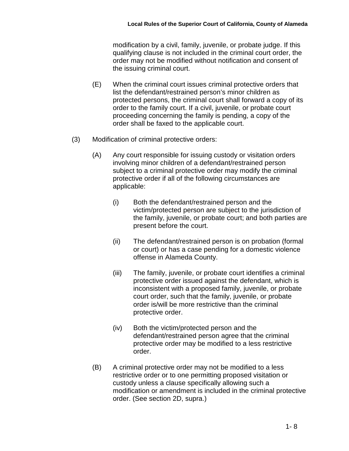modification by a civil, family, juvenile, or probate judge. If this qualifying clause is not included in the criminal court order, the order may not be modified without notification and consent of the issuing criminal court.

- (E) When the criminal court issues criminal protective orders that list the defendant/restrained person's minor children as protected persons, the criminal court shall forward a copy of its order to the family court. If a civil, juvenile, or probate court proceeding concerning the family is pending, a copy of the order shall be faxed to the applicable court.
- (3) Modification of criminal protective orders:
	- (A) Any court responsible for issuing custody or visitation orders involving minor children of a defendant/restrained person subject to a criminal protective order may modify the criminal protective order if all of the following circumstances are applicable:
		- (i) Both the defendant/restrained person and the victim/protected person are subject to the jurisdiction of the family, juvenile, or probate court; and both parties are present before the court.
		- (ii) The defendant/restrained person is on probation (formal or court) or has a case pending for a domestic violence offense in Alameda County.
		- (iii) The family, juvenile, or probate court identifies a criminal protective order issued against the defendant, which is inconsistent with a proposed family, juvenile, or probate court order, such that the family, juvenile, or probate order is/will be more restrictive than the criminal protective order.
		- (iv) Both the victim/protected person and the defendant/restrained person agree that the criminal protective order may be modified to a less restrictive order.
	- (B) A criminal protective order may not be modified to a less restrictive order or to one permitting proposed visitation or custody unless a clause specifically allowing such a modification or amendment is included in the criminal protective order. (See section 2D, supra.)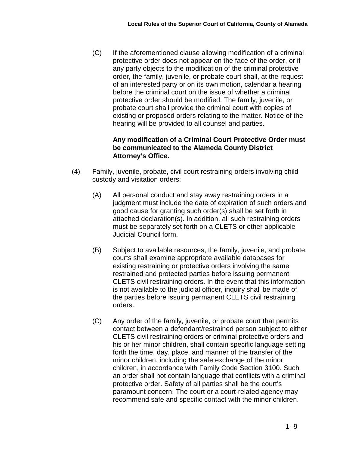(C) If the aforementioned clause allowing modification of a criminal protective order does not appear on the face of the order, or if any party objects to the modification of the criminal protective order, the family, juvenile, or probate court shall, at the request of an interested party or on its own motion, calendar a hearing before the criminal court on the issue of whether a criminal protective order should be modified. The family, juvenile, or probate court shall provide the criminal court with copies of existing or proposed orders relating to the matter. Notice of the hearing will be provided to all counsel and parties.

#### **Any modification of a Criminal Court Protective Order must be communicated to the Alameda County District Attorney's Office.**

- (4) Family, juvenile, probate, civil court restraining orders involving child custody and visitation orders:
	- (A) All personal conduct and stay away restraining orders in a judgment must include the date of expiration of such orders and good cause for granting such order(s) shall be set forth in attached declaration(s). In addition, all such restraining orders must be separately set forth on a CLETS or other applicable Judicial Council form.
	- (B) Subject to available resources, the family, juvenile, and probate courts shall examine appropriate available databases for existing restraining or protective orders involving the same restrained and protected parties before issuing permanent CLETS civil restraining orders. In the event that this information is not available to the judicial officer, inquiry shall be made of the parties before issuing permanent CLETS civil restraining orders.
	- (C) Any order of the family, juvenile, or probate court that permits contact between a defendant/restrained person subject to either CLETS civil restraining orders or criminal protective orders and his or her minor children, shall contain specific language setting forth the time, day, place, and manner of the transfer of the minor children, including the safe exchange of the minor children, in accordance with Family Code Section 3100. Such an order shall not contain language that conflicts with a criminal protective order. Safety of all parties shall be the court's paramount concern. The court or a court-related agency may recommend safe and specific contact with the minor children.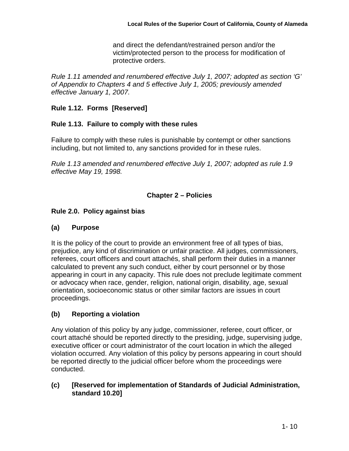and direct the defendant/restrained person and/or the victim/protected person to the process for modification of protective orders.

*Rule 1.11 amended and renumbered effective July 1, 2007; adopted as section 'G' of Appendix to Chapters 4 and 5 effective July 1, 2005; previously amended effective January 1, 2007.*

# **Rule 1.12. Forms [Reserved]**

## **Rule 1.13. Failure to comply with these rules**

Failure to comply with these rules is punishable by contempt or other sanctions including, but not limited to, any sanctions provided for in these rules.

*Rule 1.13 amended and renumbered effective July 1, 2007; adopted as rule 1.9 effective May 19, 1998.*

## **Chapter 2 – Policies**

## **Rule 2.0. Policy against bias**

## **(a) Purpose**

It is the policy of the court to provide an environment free of all types of bias, prejudice, any kind of discrimination or unfair practice. All judges, commissioners, referees, court officers and court attachés, shall perform their duties in a manner calculated to prevent any such conduct, either by court personnel or by those appearing in court in any capacity. This rule does not preclude legitimate comment or advocacy when race, gender, religion, national origin, disability, age, sexual orientation, socioeconomic status or other similar factors are issues in court proceedings.

# **(b) Reporting a violation**

Any violation of this policy by any judge, commissioner, referee, court officer, or court attaché should be reported directly to the presiding, judge, supervising judge, executive officer or court administrator of the court location in which the alleged violation occurred. Any violation of this policy by persons appearing in court should be reported directly to the judicial officer before whom the proceedings were conducted.

## **(c) [Reserved for implementation of Standards of Judicial Administration, standard 10.20]**